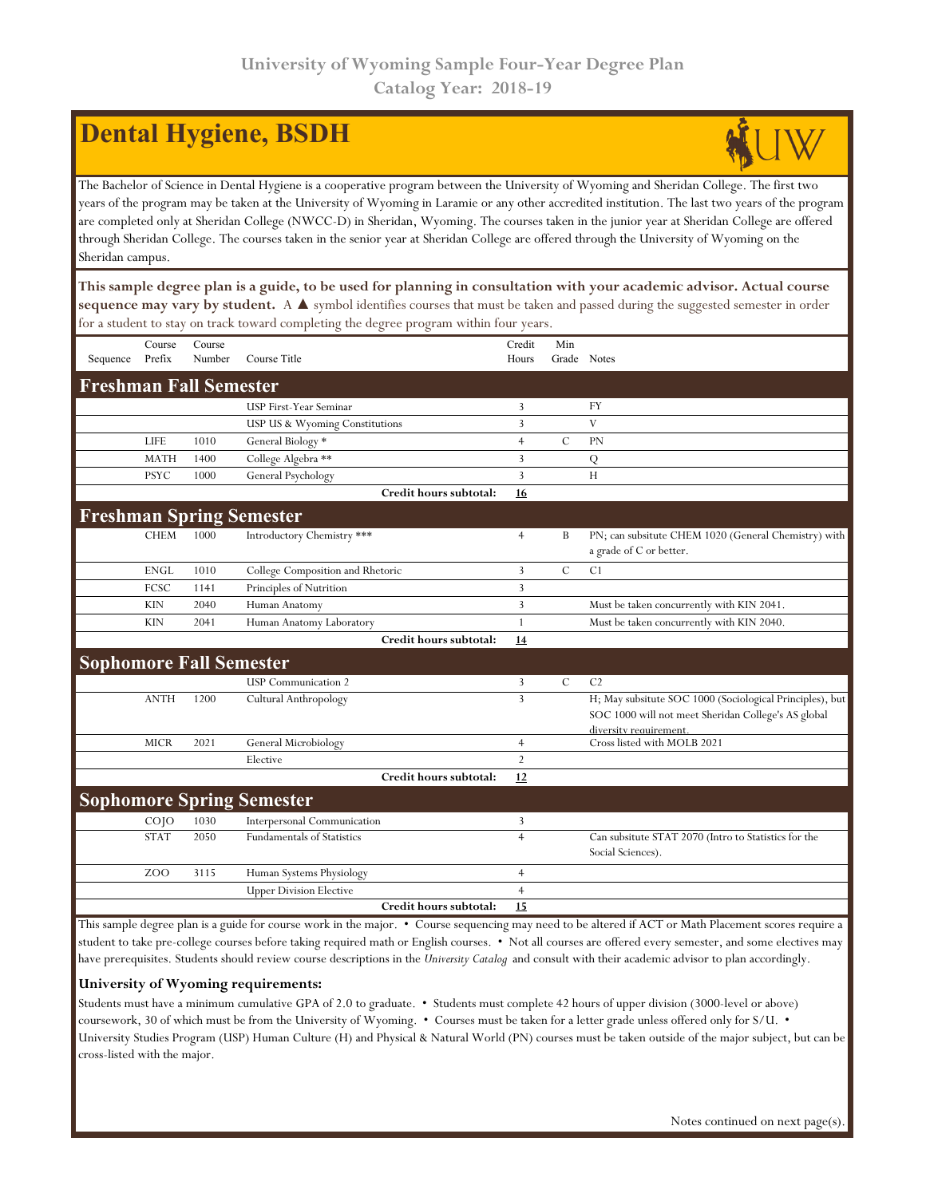## **Dental Hygiene, BSDH**

The Bachelor of Science in Dental Hygiene is a cooperative program between the University of Wyoming and Sheridan College. The first two years of the program may be taken at the University of Wyoming in Laramie or any other accredited institution. The last two years of the program are completed only at Sheridan College (NWCC-D) in Sheridan, Wyoming. The courses taken in the junior year at Sheridan College are offered through Sheridan College. The courses taken in the senior year at Sheridan College are offered through the University of Wyoming on the Sheridan campus.

**This sample degree plan is a guide, to be used for planning in consultation with your academic advisor. Actual course sequence may vary by student.** A ▲ symbol identifies courses that must be taken and passed during the suggested semester in order for a student to stay on track toward completing the degree program within four years.

|                                 | Course          | Course |                                   | Credit         | Min           |                                                                                                                 |  |  |  |
|---------------------------------|-----------------|--------|-----------------------------------|----------------|---------------|-----------------------------------------------------------------------------------------------------------------|--|--|--|
| Sequence                        | Prefix          | Number | Course Title                      | Hours          | Grade Notes   |                                                                                                                 |  |  |  |
| <b>Freshman Fall Semester</b>   |                 |        |                                   |                |               |                                                                                                                 |  |  |  |
|                                 |                 |        | <b>USP First-Year Seminar</b>     | 3              |               | FY                                                                                                              |  |  |  |
|                                 |                 |        | USP US & Wyoming Constitutions    | 3              |               | V                                                                                                               |  |  |  |
|                                 | <b>LIFE</b>     | 1010   | General Biology *                 | $\overline{4}$ | $\mathcal{C}$ | PN                                                                                                              |  |  |  |
|                                 | <b>MATH</b>     | 1400   | College Algebra **                | $\overline{3}$ |               | Q                                                                                                               |  |  |  |
|                                 | <b>PSYC</b>     | 1000   | General Psychology                | $\overline{3}$ |               | H                                                                                                               |  |  |  |
|                                 |                 |        | Credit hours subtotal:            | 16             |               |                                                                                                                 |  |  |  |
| <b>Freshman Spring Semester</b> |                 |        |                                   |                |               |                                                                                                                 |  |  |  |
|                                 | <b>CHEM</b>     | 1000   | Introductory Chemistry ***        | $\overline{4}$ | B             | PN; can subsitute CHEM 1020 (General Chemistry) with<br>a grade of C or better.                                 |  |  |  |
|                                 | <b>ENGL</b>     | 1010   | College Composition and Rhetoric  | 3              | $\mathcal{C}$ | C <sub>1</sub>                                                                                                  |  |  |  |
|                                 | FCSC            | 1141   | Principles of Nutrition           | 3              |               |                                                                                                                 |  |  |  |
|                                 | <b>KIN</b>      | 2040   | Human Anatomy                     | 3              |               | Must be taken concurrently with KIN 2041.                                                                       |  |  |  |
|                                 | <b>KIN</b>      | 2041   | Human Anatomy Laboratory          | 1              |               | Must be taken concurrently with KIN 2040.                                                                       |  |  |  |
|                                 |                 |        | Credit hours subtotal:            | 14             |               |                                                                                                                 |  |  |  |
| <b>Sophomore Fall Semester</b>  |                 |        |                                   |                |               |                                                                                                                 |  |  |  |
|                                 |                 |        | <b>USP</b> Communication 2        | 3              | $\mathbf C$   | C <sub>2</sub>                                                                                                  |  |  |  |
|                                 | <b>ANTH</b>     | 1200   | Cultural Anthropology             | $\overline{3}$ |               | H; May subsitute SOC 1000 (Sociological Principles), but<br>SOC 1000 will not meet Sheridan College's AS global |  |  |  |
|                                 | <b>MICR</b>     | 2021   | General Microbiology              | $\overline{4}$ |               | diversity requirement.<br>Cross listed with MOLB 2021                                                           |  |  |  |
|                                 |                 |        | Elective                          | $\overline{2}$ |               |                                                                                                                 |  |  |  |
|                                 |                 |        | Credit hours subtotal:            | 12             |               |                                                                                                                 |  |  |  |
|                                 |                 |        | <b>Sophomore Spring Semester</b>  |                |               |                                                                                                                 |  |  |  |
|                                 | CO <sub>1</sub> | 1030   | Interpersonal Communication       | 3              |               |                                                                                                                 |  |  |  |
|                                 | <b>STAT</b>     | 2050   | <b>Fundamentals of Statistics</b> | $\overline{4}$ |               | Can subsitute STAT 2070 (Intro to Statistics for the<br>Social Sciences).                                       |  |  |  |
|                                 | ZOO             | 3115   | Human Systems Physiology          | $\overline{4}$ |               |                                                                                                                 |  |  |  |
|                                 |                 |        | <b>Upper Division Elective</b>    | $\overline{4}$ |               |                                                                                                                 |  |  |  |
|                                 |                 |        | Credit hours subtotal:            | 15             |               |                                                                                                                 |  |  |  |

This sample degree plan is a guide for course work in the major. • Course sequencing may need to be altered if ACT or Math Placement scores require a student to take pre-college courses before taking required math or English courses. • Not all courses are offered every semester, and some electives may have prerequisites. Students should review course descriptions in the *University Catalog* and consult with their academic advisor to plan accordingly.

#### **University of Wyoming requirements:**

Students must have a minimum cumulative GPA of 2.0 to graduate. • Students must complete 42 hours of upper division (3000-level or above) coursework, 30 of which must be from the University of Wyoming. • Courses must be taken for a letter grade unless offered only for S/U. • University Studies Program (USP) Human Culture (H) and Physical & Natural World (PN) courses must be taken outside of the major subject, but can be cross-listed with the major.

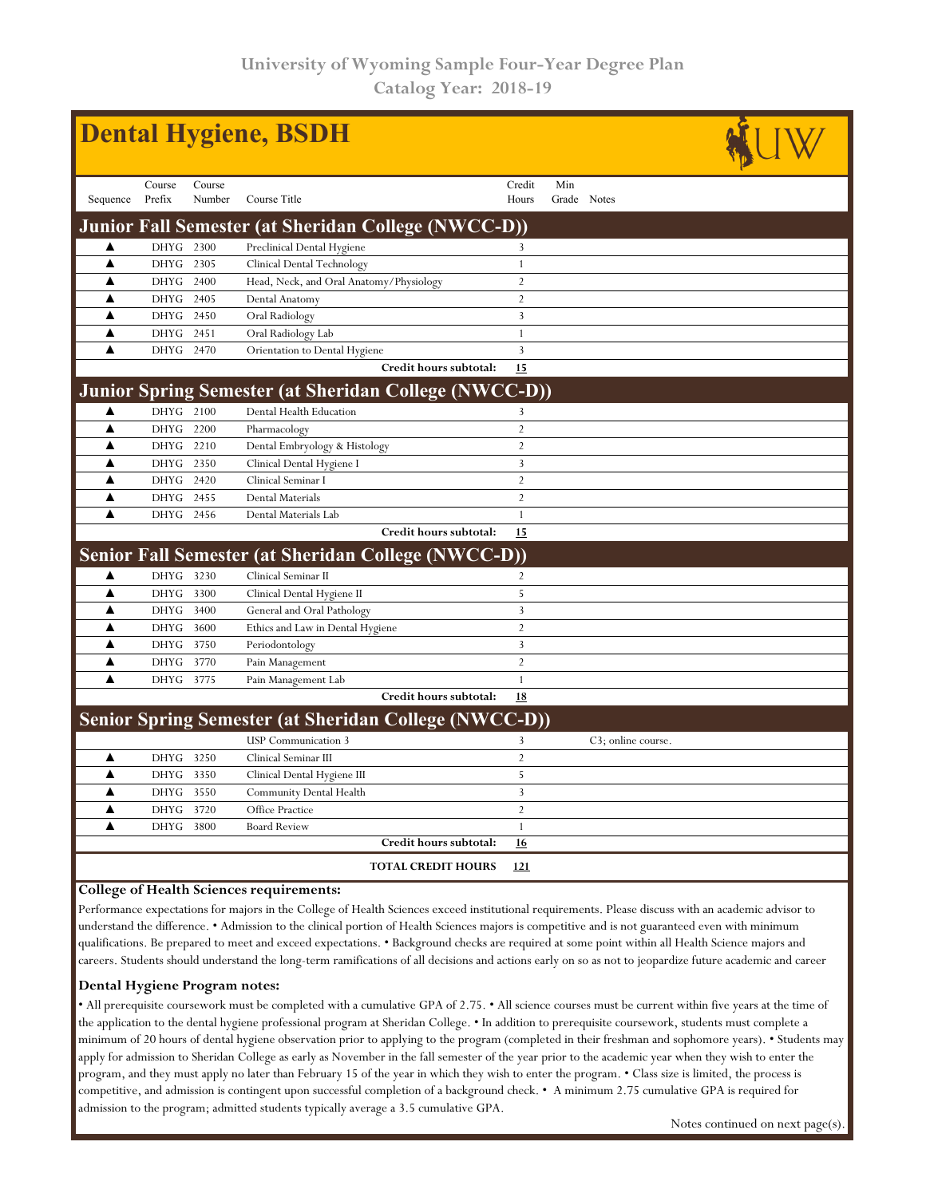| <b>Dental Hygiene, BSDH</b> |                                                            |                  |                                                              |  |                 |                    |                    |  |  |  |  |  |  |
|-----------------------------|------------------------------------------------------------|------------------|--------------------------------------------------------------|--|-----------------|--------------------|--------------------|--|--|--|--|--|--|
| Sequence                    | Course<br>Prefix                                           | Course<br>Number | Course Title                                                 |  | Credit<br>Hours | Min<br>Grade Notes |                    |  |  |  |  |  |  |
|                             | <b>Junior Fall Semester (at Sheridan College (NWCC-D))</b> |                  |                                                              |  |                 |                    |                    |  |  |  |  |  |  |
| ▲                           | DHYG                                                       | 2300             | Preclinical Dental Hygiene                                   |  | 3               |                    |                    |  |  |  |  |  |  |
| ▲                           | <b>DHYG</b>                                                | 2305             | Clinical Dental Technology                                   |  | 1               |                    |                    |  |  |  |  |  |  |
| ▲                           | <b>DHYG</b>                                                | 2400             | Head, Neck, and Oral Anatomy/Physiology                      |  | 2               |                    |                    |  |  |  |  |  |  |
| ▲                           | DHYG                                                       | 2405             | Dental Anatomy                                               |  | $\overline{2}$  |                    |                    |  |  |  |  |  |  |
| ▲                           | <b>DHYG</b>                                                | 2450             | Oral Radiology                                               |  | 3               |                    |                    |  |  |  |  |  |  |
| ▲                           | <b>DHYG</b>                                                | 2451             | Oral Radiology Lab                                           |  | $\,1\,$         |                    |                    |  |  |  |  |  |  |
| ▲                           | <b>DHYG</b>                                                | 2470             | Orientation to Dental Hygiene                                |  | $\overline{3}$  |                    |                    |  |  |  |  |  |  |
|                             |                                                            |                  | Credit hours subtotal:                                       |  | 15              |                    |                    |  |  |  |  |  |  |
|                             |                                                            |                  | <b>Junior Spring Semester (at Sheridan College (NWCC-D))</b> |  |                 |                    |                    |  |  |  |  |  |  |
| ▲                           | DHYG 2100                                                  |                  | Dental Health Education                                      |  | 3               |                    |                    |  |  |  |  |  |  |
| ▲                           | <b>DHYG</b>                                                | 2200             | Pharmacology                                                 |  | $\overline{2}$  |                    |                    |  |  |  |  |  |  |
| ▲                           | <b>DHYG</b>                                                | 2210             | Dental Embryology & Histology                                |  | $\overline{2}$  |                    |                    |  |  |  |  |  |  |
| ▲                           | DHYG 2350                                                  |                  | Clinical Dental Hygiene I                                    |  | $\mathbf{3}$    |                    |                    |  |  |  |  |  |  |
| ▲                           | <b>DHYG</b>                                                | 2420             | Clinical Seminar I                                           |  | $\overline{2}$  |                    |                    |  |  |  |  |  |  |
| ▲                           | <b>DHYG</b>                                                | 2455             | Dental Materials                                             |  | $\overline{2}$  |                    |                    |  |  |  |  |  |  |
| ▲                           | DHYG 2456                                                  |                  | Dental Materials Lab                                         |  | $\mathbf{1}$    |                    |                    |  |  |  |  |  |  |
|                             |                                                            |                  | Credit hours subtotal:                                       |  | 15              |                    |                    |  |  |  |  |  |  |
|                             |                                                            |                  | <b>Senior Fall Semester (at Sheridan College (NWCC-D))</b>   |  |                 |                    |                    |  |  |  |  |  |  |
| ▲                           | <b>DHYG</b>                                                | 3230             | Clinical Seminar II                                          |  | $\overline{2}$  |                    |                    |  |  |  |  |  |  |
| ▲                           | <b>DHYG</b>                                                | 3300             | Clinical Dental Hygiene II                                   |  | 5               |                    |                    |  |  |  |  |  |  |
| ▲                           | <b>DHYG</b>                                                | 3400             | General and Oral Pathology                                   |  | 3               |                    |                    |  |  |  |  |  |  |
| ▲                           | <b>DHYG</b>                                                | 3600             | Ethics and Law in Dental Hygiene                             |  | $\overline{2}$  |                    |                    |  |  |  |  |  |  |
| ▲                           | <b>DHYG</b>                                                | 3750             | Periodontology                                               |  | 3               |                    |                    |  |  |  |  |  |  |
| ▲                           | <b>DHYG</b>                                                | 3770             | Pain Management                                              |  | $\overline{2}$  |                    |                    |  |  |  |  |  |  |
| ▲                           | <b>DHYG</b>                                                | 3775             | Pain Management Lab                                          |  | $\mathbf{1}$    |                    |                    |  |  |  |  |  |  |
|                             |                                                            |                  | Credit hours subtotal:                                       |  | 18              |                    |                    |  |  |  |  |  |  |
|                             |                                                            |                  | <b>Senior Spring Semester (at Sheridan College (NWCC-D))</b> |  |                 |                    |                    |  |  |  |  |  |  |
|                             |                                                            |                  | <b>USP</b> Communication 3                                   |  | 3               |                    | C3; online course. |  |  |  |  |  |  |
| ▲                           | <b>DHYG</b>                                                | 3250             | Clinical Seminar III                                         |  | $\overline{2}$  |                    |                    |  |  |  |  |  |  |
| $\blacktriangle$            | DHYG 3350                                                  |                  | Clinical Dental Hygiene III                                  |  | 5               |                    |                    |  |  |  |  |  |  |
| ▲                           | <b>DHYG</b>                                                | 3550             | Community Dental Health                                      |  | $\overline{3}$  |                    |                    |  |  |  |  |  |  |
| ▲                           | <b>DHYG</b>                                                | 3720             | Office Practice                                              |  | $\overline{2}$  |                    |                    |  |  |  |  |  |  |
| $\blacktriangle$            | <b>DHYG</b>                                                | 3800             | <b>Board Review</b>                                          |  | 1               |                    |                    |  |  |  |  |  |  |
|                             |                                                            |                  | Credit hours subtotal:                                       |  | 16              |                    |                    |  |  |  |  |  |  |
|                             |                                                            |                  | <b>TOTAL CREDIT HOURS</b>                                    |  | 121             |                    |                    |  |  |  |  |  |  |
|                             |                                                            |                  |                                                              |  |                 |                    |                    |  |  |  |  |  |  |

#### **College of Health Sciences requirements:**

Performance expectations for majors in the College of Health Sciences exceed institutional requirements. Please discuss with an academic advisor to understand the difference. • Admission to the clinical portion of Health Sciences majors is competitive and is not guaranteed even with minimum qualifications. Be prepared to meet and exceed expectations. • Background checks are required at some point within all Health Science majors and careers. Students should understand the long-term ramifications of all decisions and actions early on so as not to jeopardize future academic and career

#### **Dental Hygiene Program notes:**

• All prerequisite coursework must be completed with a cumulative GPA of 2.75. • All science courses must be current within five years at the time of the application to the dental hygiene professional program at Sheridan College. • In addition to prerequisite coursework, students must complete a minimum of 20 hours of dental hygiene observation prior to applying to the program (completed in their freshman and sophomore years). • Students may apply for admission to Sheridan College as early as November in the fall semester of the year prior to the academic year when they wish to enter the program, and they must apply no later than February 15 of the year in which they wish to enter the program. • Class size is limited, the process is competitive, and admission is contingent upon successful completion of a background check. • A minimum 2.75 cumulative GPA is required for admission to the program; admitted students typically average a 3.5 cumulative GPA.